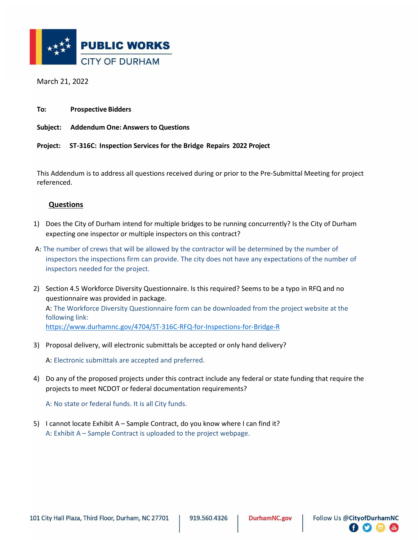

March 21, 2022

**To: Prospective Bidders**

**Subject: Addendum One: Answers to Questions** 

**Project: ST-316C: Inspection Services for the Bridge Repairs 2022 Project** 

This Addendum is to address all questions received during or prior to the Pre-Submittal Meeting for project referenced.

## **Questions**

- 1) Does the City of Durham intend for multiple bridges to be running concurrently? Is the City of Durham expecting one inspector or multiple inspectors on this contract?
- A: The number of crews that will be allowed by the contractor will be determined by the number of inspectors the inspections firm can provide. The city does not have any expectations of the number of inspectors needed for the project.
- 2) Section 4.5 Workforce Diversity Questionnaire. Is this required? Seems to be a typo in RFQ and no questionnaire was provided in package. A: The Workforce Diversity Questionnaire form can be downloaded from the project website at the following link: <https://www.durhamnc.gov/4704/ST-316C-RFQ-for-Inspections-for-Bridge-R>
- 3) Proposal delivery, will electronic submittals be accepted or only hand delivery?

A: Electronic submittals are accepted and preferred.

4) Do any of the proposed projects under this contract include any federal or state funding that require the projects to meet NCDOT or federal documentation requirements?

A: No state or federal funds. It is all City funds.

5) I cannot locate Exhibit A – Sample Contract, do you know where I can find it? A: Exhibit A – Sample Contract is uploaded to the project webpage.